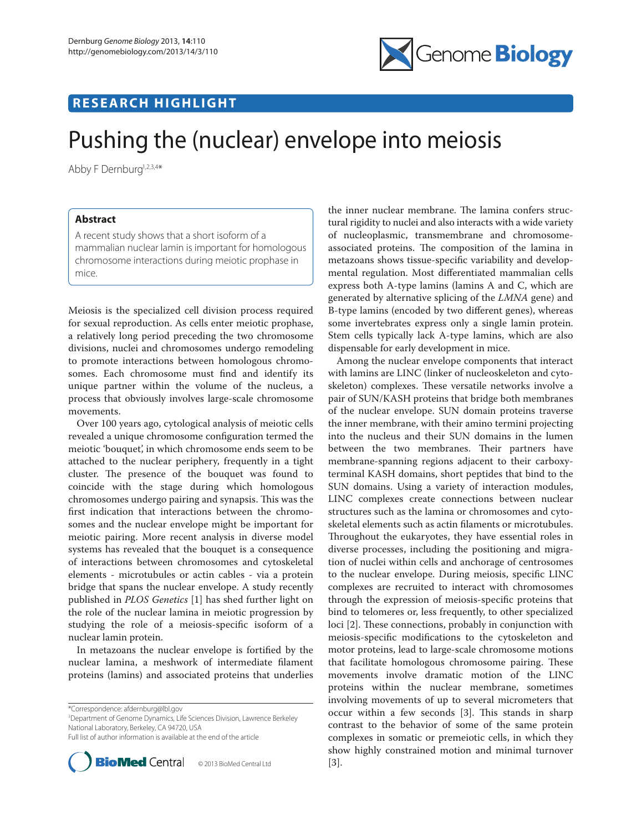

## **RESEARCH HIGHLIGHT**

# Pushing the (nuclear) envelope into meiosis

Abby F Dernburg<sup>1,2,3,4\*</sup>

### **Abstract**

A recent study shows that a short isoform of a mammalian nuclear lamin is important for homologous chromosome interactions during meiotic prophase in mice.

Meiosis is the specialized cell division process required for sexual reproduction. As cells enter meiotic prophase, a relatively long period preceding the two chromosome divisions, nuclei and chromosomes undergo remodeling to promote interactions between homologous chromosomes. Each chromosome must find and identify its unique partner within the volume of the nucleus, a process that obviously involves large-scale chromosome movements.

Over 100 years ago, cytological analysis of meiotic cells revealed a unique chromosome configuration termed the meiotic 'bouquet', in which chromosome ends seem to be attached to the nuclear periphery, frequently in a tight cluster. The presence of the bouquet was found to coincide with the stage during which homologous chromosomes undergo pairing and synapsis. This was the first indication that interactions between the chromosomes and the nuclear envelope might be important for meiotic pairing. More recent analysis in diverse model systems has revealed that the bouquet is a consequence of interactions between chromosomes and cytoskeletal elements - microtubules or actin cables - via a protein bridge that spans the nuclear envelope. A study recently published in *PLOS Genetics* [1] has shed further light on the role of the nuclear lamina in meiotic progression by studying the role of a meiosis-specific isoform of a nuclear lamin protein.

In metazoans the nuclear envelope is fortified by the nuclear lamina, a meshwork of intermediate filament proteins (lamins) and associated proteins that underlies

\*Correspondence: afdernburg@lbl.gov

3 Department of Genome Dynamics, Life Sciences Division, Lawrence Berkeley National Laboratory, Berkeley, CA 94720, USA Full list of author information is available at the end of the article



the inner nuclear membrane. The lamina confers structural rigidity to nuclei and also interacts with a wide variety of nucleoplasmic, transmembrane and chromosomeassociated proteins. The composition of the lamina in metazoans shows tissue-specific variability and developmental regulation. Most differentiated mammalian cells express both A-type lamins (lamins A and C, which are generated by alternative splicing of the *LMNA* gene) and B-type lamins (encoded by two different genes), whereas some invertebrates express only a single lamin protein. Stem cells typically lack A-type lamins, which are also dispensable for early development in mice.

Among the nuclear envelope components that interact with lamins are LINC (linker of nucleoskeleton and cytoskeleton) complexes. These versatile networks involve a pair of SUN/KASH proteins that bridge both membranes of the nuclear envelope. SUN domain proteins traverse the inner membrane, with their amino termini projecting into the nucleus and their SUN domains in the lumen between the two membranes. Their partners have membrane-spanning regions adjacent to their carboxyterminal KASH domains, short peptides that bind to the SUN domains. Using a variety of interaction modules, LINC complexes create connections between nuclear structures such as the lamina or chromosomes and cytoskeletal elements such as actin filaments or microtubules. Throughout the eukaryotes, they have essential roles in diverse processes, including the positioning and migration of nuclei within cells and anchorage of centrosomes to the nuclear envelope. During meiosis, specific LINC complexes are recruited to interact with chromosomes through the expression of meiosis-specific proteins that bind to telomeres or, less frequently, to other specialized loci [2]. These connections, probably in conjunction with meiosis-specific modifications to the cytoskeleton and motor proteins, lead to large-scale chromosome motions that facilitate homologous chromosome pairing. These movements involve dramatic motion of the LINC proteins within the nuclear membrane, sometimes involving movements of up to several micrometers that occur within a few seconds [3]. This stands in sharp contrast to the behavior of some of the same protein complexes in somatic or premeiotic cells, in which they show highly constrained motion and minimal turnover [3].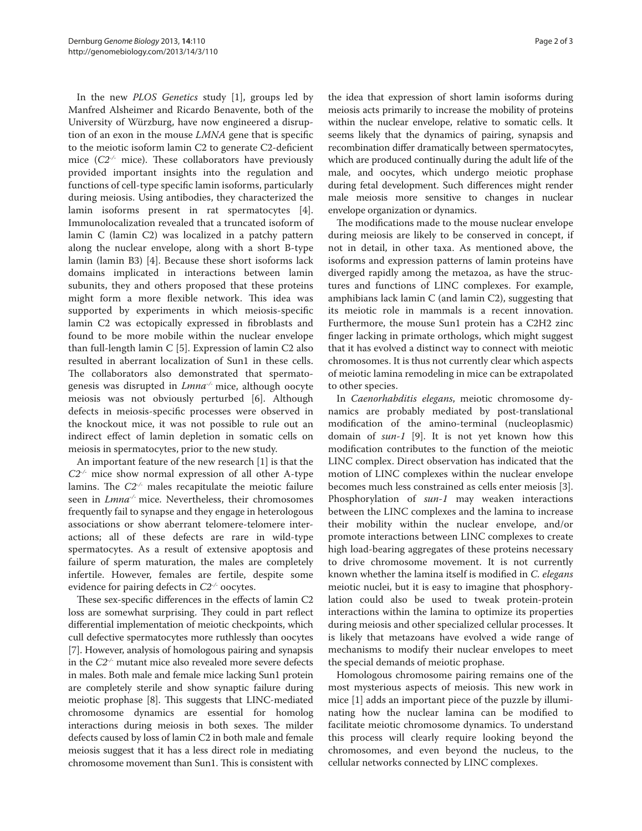In the new *PLOS Genetics* study [1], groups led by Manfred Alsheimer and Ricardo Benavente, both of the University of Würzburg, have now engineered a disruption of an exon in the mouse *LMNA* gene that is specific to the meiotic isoform lamin C2 to generate C2-deficient mice (*C2-/-* mice). These collaborators have previously provided important insights into the regulation and functions of cell-type specific lamin isoforms, particularly during meiosis. Using antibodies, they characterized the lamin isoforms present in rat spermatocytes [4]. Immunolocalization revealed that a truncated isoform of lamin C (lamin C2) was localized in a patchy pattern along the nuclear envelope, along with a short B-type lamin (lamin B3) [4]. Because these short isoforms lack domains implicated in interactions between lamin subunits, they and others proposed that these proteins might form a more flexible network. This idea was supported by experiments in which meiosis-specific lamin C2 was ectopically expressed in fibroblasts and found to be more mobile within the nuclear envelope than full-length lamin C [5]. Expression of lamin C2 also resulted in aberrant localization of Sun1 in these cells. The collaborators also demonstrated that spermatogenesis was disrupted in *Lmna-/-* mice, although oocyte meiosis was not obviously perturbed [6]. Although defects in meiosis-specific processes were observed in the knockout mice, it was not possible to rule out an indirect effect of lamin depletion in somatic cells on meiosis in spermatocytes, prior to the new study.

An important feature of the new research [1] is that the *C2-/-* mice show normal expression of all other A-type lamins. The *C2-/-* males recapitulate the meiotic failure seen in *Lmna-/-* mice. Nevertheless, their chromosomes frequently fail to synapse and they engage in heterologous associations or show aberrant telomere-telomere interactions; all of these defects are rare in wild-type spermatocytes. As a result of extensive apoptosis and failure of sperm maturation, the males are completely infertile. However, females are fertile, despite some evidence for pairing defects in *C2-/-* oocytes.

These sex-specific differences in the effects of lamin C2 loss are somewhat surprising. They could in part reflect differential implementation of meiotic checkpoints, which cull defective spermatocytes more ruthlessly than oocytes [7]. However, analysis of homologous pairing and synapsis in the *C2-/-* mutant mice also revealed more severe defects in males. Both male and female mice lacking Sun1 protein are completely sterile and show synaptic failure during meiotic prophase [8]. This suggests that LINC-mediated chromosome dynamics are essential for homolog interactions during meiosis in both sexes. The milder defects caused by loss of lamin C2 in both male and female meiosis suggest that it has a less direct role in mediating chromosome movement than Sun1. This is consistent with the idea that expression of short lamin isoforms during meiosis acts primarily to increase the mobility of proteins within the nuclear envelope, relative to somatic cells. It seems likely that the dynamics of pairing, synapsis and recombination differ dramatically between spermatocytes, which are produced continually during the adult life of the male, and oocytes, which undergo meiotic prophase during fetal development. Such differences might render male meiosis more sensitive to changes in nuclear envelope organization or dynamics.

The modifications made to the mouse nuclear envelope during meiosis are likely to be conserved in concept, if not in detail, in other taxa. As mentioned above, the isoforms and expression patterns of lamin proteins have diverged rapidly among the metazoa, as have the structures and functions of LINC complexes. For example, amphibians lack lamin C (and lamin C2), suggesting that its meiotic role in mammals is a recent innovation. Furthermore, the mouse Sun1 protein has a C2H2 zinc finger lacking in primate orthologs, which might suggest that it has evolved a distinct way to connect with meiotic chromosomes. It is thus not currently clear which aspects of meiotic lamina remodeling in mice can be extrapolated to other species.

In *Caenorhabditis elegans*, meiotic chromosome dynamics are probably mediated by post-translational modification of the amino-terminal (nucleoplasmic) domain of *sun-1* [9]. It is not yet known how this modification contributes to the function of the meiotic LINC complex. Direct observation has indicated that the motion of LINC complexes within the nuclear envelope becomes much less constrained as cells enter meiosis [3]. Phosphorylation of *sun-1* may weaken interactions between the LINC complexes and the lamina to increase their mobility within the nuclear envelope, and/or promote interactions between LINC complexes to create high load-bearing aggregates of these proteins necessary to drive chromosome movement. It is not currently known whether the lamina itself is modified in *C. elegans* meiotic nuclei, but it is easy to imagine that phosphorylation could also be used to tweak protein-protein interactions within the lamina to optimize its properties during meiosis and other specialized cellular processes. It is likely that metazoans have evolved a wide range of mechanisms to modify their nuclear envelopes to meet the special demands of meiotic prophase.

Homologous chromosome pairing remains one of the most mysterious aspects of meiosis. This new work in mice [1] adds an important piece of the puzzle by illuminating how the nuclear lamina can be modified to facilitate meiotic chromosome dynamics. To understand this process will clearly require looking beyond the chromosomes, and even beyond the nucleus, to the cellular networks connected by LINC complexes.